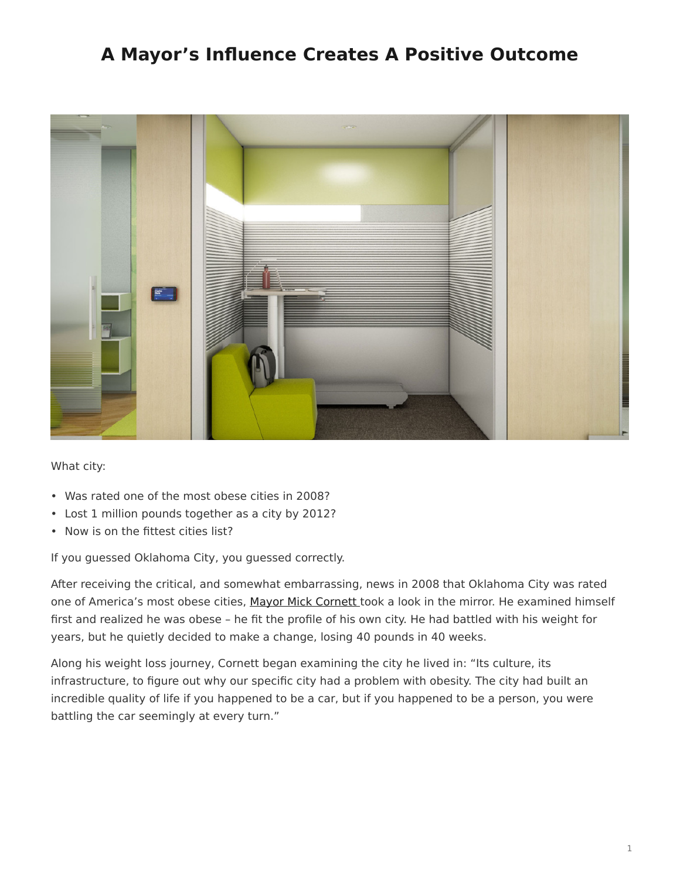## <span id="page-0-0"></span>**A Mayor's Influence Creates A Positive Outcome**



What city:

- Was rated one of the most obese cities in 2008?
- Lost 1 million pounds together as a city by 2012?
- Now is on the fittest cities list?

If you guessed Oklahoma City, you guessed correctly.

After receiving the critical, and somewhat embarrassing, news in 2008 that Oklahoma City was rated one of America's most obese cities, [Mayor Mick Cornett](https://www.okc.gov/government/mayor) took a look in the mirror. He examined himself first and realized he was obese – he fit the profile of his own city. He had battled with his weight for years, but he quietly decided to make a change, losing 40 pounds in 40 weeks.

Along his weight loss journey, Cornett began examining the city he lived in: "Its culture, its infrastructure, to figure out why our specific city had a problem with obesity. The city had built an incredible quality of life if you happened to be a car, but if you happened to be a person, you were battling the car seemingly at every turn."